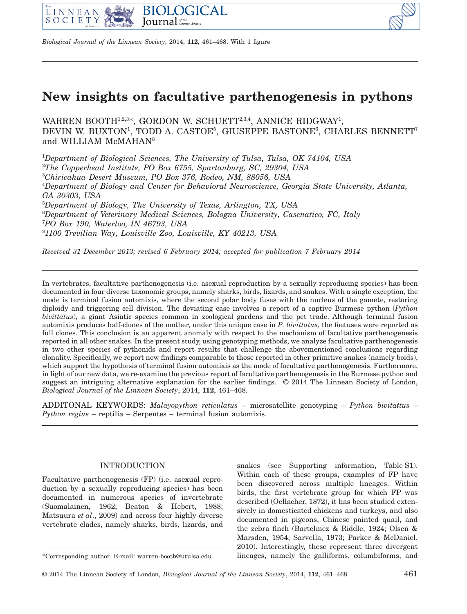



*Biological Journal of the Linnean Society*, 2014, **112**, 461–468. With 1 figure

# **New insights on facultative parthenogenesis in pythons**

WARREN BOOTH<sup>1,2,3\*</sup>, GORDON W. SCHUETT<sup>2,3,4</sup>, ANNICE RIDGWAY<sup>1</sup>, DEVIN W. BUXTON<sup>1</sup>, TODD A. CASTOE<sup>5</sup>, GIUSEPPE BASTONE<sup>6</sup>, CHARLES BENNETT<sup>7</sup> and WILLIAM McMAHAN8

 *Department of Biological Sciences, The University of Tulsa, Tulsa, OK 74104, USA The Copperhead Institute, PO Box 6755, Spartanburg, SC, 29304, USA Chiricahua Desert Museum, PO Box 376, Rodeo, NM, 88056, USA Department of Biology and Center for Behavioral Neuroscience, Georgia State University, Atlanta, GA 30303, USA Department of Biology, The University of Texas, Arlington, TX, USA Department of Veterinary Medical Sciences, Bologna University, Casenatico, FC, Italy PO Box 190, Waterloo, IN 46793, USA 1100 Trevilian Way, Louisville Zoo, Louisville, KY 40213, USA*

*Received 31 December 2013; revised 6 February 2014; accepted for publication 7 February 2014*

In vertebrates, facultative parthenogenesis (i.e. asexual reproduction by a sexually reproducing species) has been documented in four diverse taxonomic groups, namely sharks, birds, lizards, and snakes. With a single exception, the mode is terminal fusion automixis, where the second polar body fuses with the nucleus of the gamete, restoring diploidy and triggering cell division. The deviating case involves a report of a captive Burmese python (*Python bivittatus*), a giant Asiatic species common in zoological gardens and the pet trade. Although terminal fusion automixis produces half-clones of the mother, under this unique case in *P. bivittatus*, the foetuses were reported as full clones. This conclusion is an apparent anomaly with respect to the mechanism of facultative parthenogenesis reported in all other snakes. In the present study, using genotyping methods, we analyze facultative parthenogenesis in two other species of pythonids and report results that challenge the abovementioned conclusions regarding clonality. Specifically, we report new findings comparable to those reported in other primitive snakes (namely boids), which support the hypothesis of terminal fusion automixis as the mode of facultative parthenogenesis. Furthermore, in light of our new data, we re-examine the previous report of facultative parthenogenesis in the Burmese python and suggest an intriguing alternative explanation for the earlier findings. © 2014 The Linnean Society of London, *Biological Journal of the Linnean Society*, 2014, **112**, 461–468.

ADDITONAL KEYWORDS: *Malayopython reticulatus* – microsatellite genotyping – *Python bivitattus* – *Python regius* – reptilia – Serpentes – terminal fusion automixis.

## INTRODUCTION

Facultative parthenogenesis (FP) (i.e. asexual reproduction by a sexually reproducing species) has been documented in numerous species of invertebrate (Suomalainen, 1962; Beaton & Hebert, 1988; Matsuura *et al*., 2009) and across four highly diverse vertebrate clades, namely sharks, birds, lizards, and

snakes (see Supporting information, Table S1). Within each of these groups, examples of FP have been discovered across multiple lineages. Within birds, the first vertebrate group for which FP was described (Oellacher, 1872), it has been studied extensively in domesticated chickens and turkeys, and also documented in pigeons, Chinese painted quail, and the zebra finch (Bartelmez & Riddle, 1924; Olsen & Marsden, 1954; Sarvella, 1973; Parker & McDaniel, 2010). Interestingly, these represent three divergent \*Corresponding author. E-mail: [warren-booth@utulsa.edu](mailto:warren-booth@utulsa.edu) lineages, namely the galliforms, columbiforms, and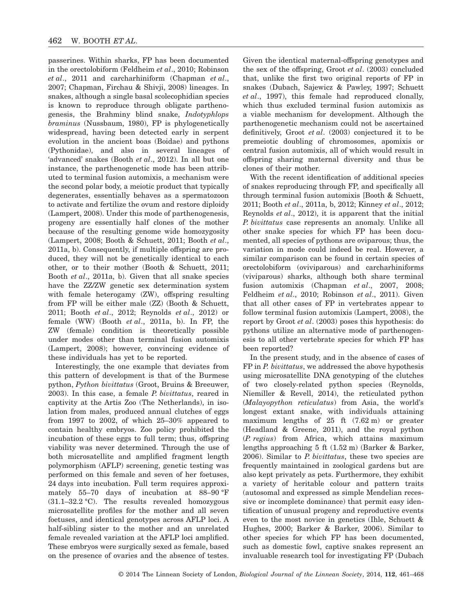passerines. Within sharks, FP has been documented in the orectolobiform (Feldheim *et al*., 2010; Robinson *et al*., 2011 and carcharhiniform (Chapman *et al*., 2007; Chapman, Firchau & Shivji, 2008) lineages. In snakes, although a single basal scolecophidian species is known to reproduce through obligate parthenogenesis, the Brahminy blind snake, *Indotyphlops braminus* (Nussbaum, 1980), FP is phylogenetically widespread, having been detected early in serpent evolution in the ancient boas (Boidae) and pythons (Pythonidae), and also in several lineages of 'advanced' snakes (Booth *et al*., 2012). In all but one instance, the parthenogenetic mode has been attributed to terminal fusion automixis, a mechanism were the second polar body, a meiotic product that typically degenerates, essentially behaves as a spermatozoon to activate and fertilize the ovum and restore diploidy (Lampert, 2008). Under this mode of parthenogenesis, progeny are essentially half clones of the mother because of the resulting genome wide homozygosity (Lampert, 2008; Booth & Schuett, 2011; Booth *et al*., 2011a, b). Consequently, if multiple offspring are produced, they will not be genetically identical to each other, or to their mother (Booth & Schuett, 2011; Booth *et al*., 2011a, b). Given that all snake species have the ZZ/ZW genetic sex determination system with female heterogamy (ZW), offspring resulting from FP will be either male (ZZ) (Booth & Schuett, 2011; Booth *et al*., 2012; Reynolds *et al*., 2012) or female (WW) (Booth *et al*., 2011a, b). In FP, the ZW (female) condition is theoretically possible under modes other than terminal fusion automixis (Lampert, 2008); however, convincing evidence of these individuals has yet to be reported.

Interestingly, the one example that deviates from this pattern of development is that of the Burmese python, *Python bivittatus* (Groot, Bruins & Breeuwer, 2003). In this case, a female *P. bivittatus*, reared in captivity at the Artis Zoo (The Netherlands), in isolation from males, produced annual clutches of eggs from 1997 to 2002, of which 25–30% appeared to contain healthy embryos. Zoo policy prohibited the incubation of these eggs to full term; thus, offspring viability was never determined. Through the use of both microsatellite and amplified fragment length polymorphism (AFLP) screening, genetic testing was performed on this female and seven of her foetuses, 24 days into incubation. Full term requires approximately 55–70 days of incubation at 88–90 °F (31.1–32.2 °C). The results revealed homozygous microsatellite profiles for the mother and all seven foetuses, and identical genotypes across AFLP loci. A half-sibling sister to the mother and an unrelated female revealed variation at the AFLP loci amplified. These embryos were surgically sexed as female, based on the presence of ovaries and the absence of testes.

Given the identical maternal-offspring genotypes and the sex of the offspring, Groot *et al*. (2003) concluded that, unlike the first two original reports of FP in snakes (Dubach, Sajewicz & Pawley, 1997; Schuett *et al*., 1997), this female had reproduced clonally, which thus excluded terminal fusion automixis as a viable mechanism for development. Although the parthenogenetic mechanism could not be ascertained definitively, Groot *et al*. (2003) conjectured it to be premeiotic doubling of chromosomes, apomixis or central fusion automixis, all of which would result in offspring sharing maternal diversity and thus be clones of their mother.

With the recent identification of additional species of snakes reproducing through FP, and specifically all through terminal fusion automixis [Booth & Schuett, 2011; Booth *et al*., 2011a, b, 2012; Kinney *et al*., 2012; Reynolds *et al*., 2012), it is apparent that the initial *P. bivittatus* case represents an anomaly. Unlike all other snake species for which FP has been documented, all species of pythons are oviparous; thus, the variation in mode could indeed be real. However, a similar comparison can be found in certain species of orectolobiform (oviviparous) and carcharhiniforms (viviparous) sharks, although both share terminal fusion automixis (Chapman *et al*., 2007, 2008; Feldheim *et al*., 2010; Robinson *et al*., 2011). Given that all other cases of FP in vertebrates appear to follow terminal fusion automixis (Lampert, 2008), the report by Groot *et al*. (2003) poses this hypothesis: do pythons utilize an alternative mode of parthenogenesis to all other vertebrate species for which FP has been reported?

In the present study, and in the absence of cases of FP in *P. bivittatus*, we addressed the above hypothesis using microsatellite DNA genotyping of the clutches of two closely-related python species (Reynolds, Niemiller & Revell, 2014), the reticulated python (*Malayopython reticulatus*) from Asia, the world's longest extant snake, with individuals attaining maximum lengths of 25 ft (7.62 m) or greater (Headland & Greene, 2011), and the royal python (*P. regius*) from Africa, which attains maximum lengths approaching 5 ft (1.52 m) (Barker & Barker, 2006). Similar to *P. bivittatus*, these two species are frequently maintained in zoological gardens but are also kept privately as pets. Furthermore, they exhibit a variety of heritable colour and pattern traits (autosomal and expressed as simple Mendelian recessive or incomplete dominance) that permit easy identification of unusual progeny and reproductive events even to the most novice in genetics (Ihle, Schuett & Hughes, 2000; Barker & Barker, 2006). Similar to other species for which FP has been documented, such as domestic fowl, captive snakes represent an invaluable research tool for investigating FP (Dubach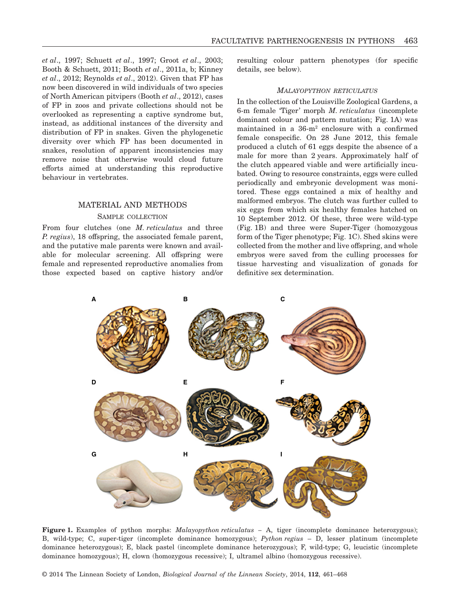*et al*., 1997; Schuett *et al*., 1997; Groot *et al*., 2003; Booth & Schuett, 2011; Booth *et al*., 2011a, b; Kinney *et al*., 2012; Reynolds *et al*., 2012). Given that FP has now been discovered in wild individuals of two species of North American pitvipers (Booth *et al*., 2012), cases of FP in zoos and private collections should not be overlooked as representing a captive syndrome but, instead, as additional instances of the diversity and distribution of FP in snakes. Given the phylogenetic diversity over which FP has been documented in snakes, resolution of apparent inconsistencies may remove noise that otherwise would cloud future efforts aimed at understanding this reproductive behaviour in vertebrates.

#### MATERIAL AND METHODS

#### SAMPLE COLLECTION

From four clutches (one *M. reticulatus* and three *P. regius*), 18 offspring, the associated female parent, and the putative male parents were known and available for molecular screening. All offspring were female and represented reproductive anomalies from those expected based on captive history and/or resulting colour pattern phenotypes (for specific details, see below).

## *MALAYOPYTHON RETICULATUS*

In the collection of the Louisville Zoological Gardens, a 6-m female 'Tiger' morph *M. reticulatus* (incomplete dominant colour and pattern mutation; Fig. 1A) was maintained in a 36-m2 enclosure with a confirmed female conspecific. On 28 June 2012, this female produced a clutch of 61 eggs despite the absence of a male for more than 2 years. Approximately half of the clutch appeared viable and were artificially incubated. Owing to resource constraints, eggs were culled periodically and embryonic development was monitored. These eggs contained a mix of healthy and malformed embryos. The clutch was further culled to six eggs from which six healthy females hatched on 10 September 2012. Of these, three were wild-type (Fig. 1B) and three were Super-Tiger (homozygous form of the Tiger phenotype; Fig. 1C). Shed skins were collected from the mother and live offspring, and whole embryos were saved from the culling processes for tissue harvesting and visualization of gonads for definitive sex determination.



**Figure 1.** Examples of python morphs: *Malayopython reticulatus –* A, tiger (incomplete dominance heterozygous); B, wild-type; C, super-tiger (incomplete dominance homozygous); *Python regius* – D, lesser platinum (incomplete dominance heterozygous); E, black pastel (incomplete dominance heterozygous); F, wild-type; G, leucistic (incomplete dominance homozygous); H, clown (homozygous recessive); I, ultramel albino (homozygous recessive).

© 2014 The Linnean Society of London, *Biological Journal of the Linnean Society*, 2014, **112**, 461–468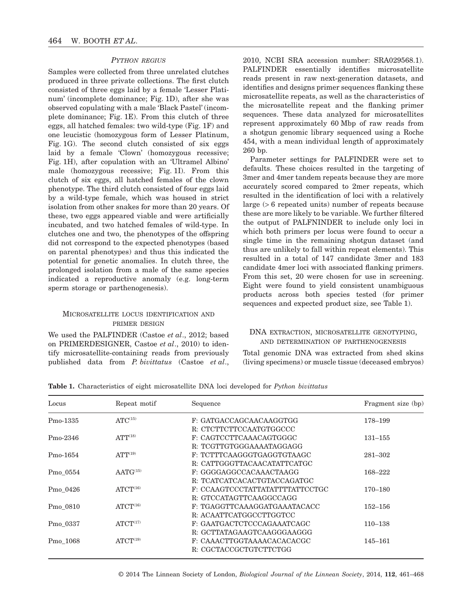#### *PYTHON REGIUS*

Samples were collected from three unrelated clutches produced in three private collections. The first clutch consisted of three eggs laid by a female 'Lesser Platinum' (incomplete dominance; Fig. 1D), after she was observed copulating with a male 'Black Pastel' (incomplete dominance; Fig. 1E). From this clutch of three eggs, all hatched females: two wild-type (Fig. 1F) and one leucistic (homozygous form of Lesser Platinum, Fig. 1G). The second clutch consisted of six eggs laid by a female 'Clown' (homozygous recessive; Fig. 1H), after copulation with an 'Ultramel Albino' male (homozygous recessive; Fig. 1I). From this clutch of six eggs, all hatched females of the clown phenotype. The third clutch consisted of four eggs laid by a wild-type female, which was housed in strict isolation from other snakes for more than 20 years. Of these, two eggs appeared viable and were artificially incubated, and two hatched females of wild-type. In clutches one and two, the phenotypes of the offspring did not correspond to the expected phenotypes (based on parental phenotypes) and thus this indicated the potential for genetic anomalies. In clutch three, the prolonged isolation from a male of the same species indicated a reproductive anomaly (e.g. long-term sperm storage or parthenogenesis).

## MICROSATELLITE LOCUS IDENTIFICATION AND PRIMER DESIGN

We used the PALFINDER (Castoe *et al*., 2012; based on PRIMERDESIGNER, Castoe *et al*., 2010) to identify microsatellite-containing reads from previously published data from *P. bivittatus* (Castoe *et al*., 2010, NCBI SRA accession number: SRA029568.1). PALFINDER essentially identifies microsatellite reads present in raw next-generation datasets, and identifies and designs primer sequences flanking these microsatellite repeats, as well as the characteristics of the microsatellite repeat and the flanking primer sequences. These data analyzed for microsatellites represent approximately 60 Mbp of raw reads from a shotgun genomic library sequenced using a Roche 454, with a mean individual length of approximately 260 bp.

Parameter settings for PALFINDER were set to defaults. These choices resulted in the targeting of 3mer and 4mer tandem repeats because they are more accurately scored compared to 2mer repeats, which resulted in the identification of loci with a relatively large (> 6 repeated units) number of repeats because these are more likely to be variable. We further filtered the output of PALFNINDER to include only loci in which both primers per locus were found to occur a single time in the remaining shotgun dataset (and thus are unlikely to fall within repeat elements). This resulted in a total of 147 candidate 3mer and 183 candidate 4mer loci with associated flanking primers. From this set, 20 were chosen for use in screening. Eight were found to yield consistent unambiguous products across both species tested (for primer sequences and expected product size, see Table 1).

#### DNA EXTRACTION, MICROSATELLITE GENOTYPING, AND DETERMINATION OF PARTHENOGENESIS

Total genomic DNA was extracted from shed skins (living specimens) or muscle tissue (deceased embryos)

**Table 1.** Characteristics of eight microsatellite DNA loci developed for *Python bivittatus*

| Locus                 | Repeat motif         | Sequence                        | Fragment size (bp) |
|-----------------------|----------------------|---------------------------------|--------------------|
| Pmo-1335              | ATC <sup>(15)</sup>  | F: GATGACCAGCAACAAGGTGG         | 178-199            |
|                       |                      | R: CTCTTCTTCCAATGTGGCCC         |                    |
| Pmo-2346              | ATT <sup>(18)</sup>  | F: CAGTCCTTCAAACAGTGGGC         | 131-155            |
|                       |                      | R: TCGTTGTGGGAAAATAGGAGG        |                    |
| P <sub>mo</sub> -1654 | ATT <sup>(19)</sup>  | F: TCTTTCAAGGGTGAGGTGTAAGC      | 281-302            |
|                       |                      | R: CATTGGGTTACAACATATTCATGC     |                    |
| Pmo 0554              | AATG <sup>(15)</sup> | F: GGGGAGGCCACAAACTAAGG         | 168–222            |
|                       |                      | R: TCATCATCACACTGTACCAGATGC     |                    |
| Pmo 0426              | ATCT <sup>(16)</sup> | F: CCAAGTCCCTATTATATTTTATTCCTGC | 170-180            |
|                       |                      | R: GTCCATAGTTCAAGGCCAGG         |                    |
| Pmo 0810              | ATCT <sup>(16)</sup> | F: TGAGGTTCAAAGGATGAAATACACC    | $152 - 156$        |
|                       |                      | R: ACAATTCATGGCCTTGGTCC         |                    |
| Pmo 0337              | ATCT <sup>(17)</sup> | F: GAATGACTCTCCCAGAAATCAGC      | $110 - 138$        |
|                       |                      | R: GCTTATAGAAGTCAAGGGAAGGG      |                    |
| Pmo 1068              | ATCT <sup>(19)</sup> | F: CAAACTTGGTAAAACACACACGC      | 145–161            |
|                       |                      | R: CGCTACCGCTGTCTTCTGG          |                    |
|                       |                      |                                 |                    |

© 2014 The Linnean Society of London, *Biological Journal of the Linnean Society*, 2014, **112**, 461–468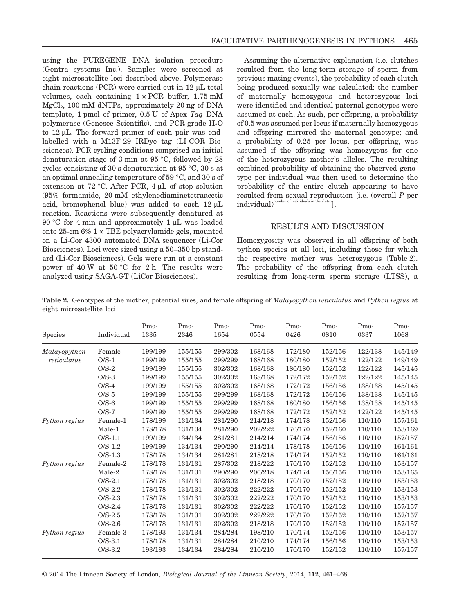using the PUREGENE DNA isolation procedure (Gentra systems Inc.). Samples were screened at eight microsatellite loci described above. Polymerase chain reactions (PCR) were carried out in 12-μL total volumes, each containing  $1 \times PCR$  buffer,  $1.75$  mM  $MgCl<sub>2</sub>$ , 100 mM dNTPs, approximately 20 ng of DNA template, 1 pmol of primer, 0.5 U of Apex *Taq* DNA polymerase (Genesee Scientific), and PCR-grade H2O to 12 μL. The forward primer of each pair was endlabelled with a M13F-29 IRDye tag (LI-COR Biosciences). PCR cycling conditions comprised an initial denaturation stage of 3 min at 95 °C, followed by 28 cycles consisting of 30 s denaturation at 95 °C, 30 s at an optimal annealing temperature of 59 °C, and 30 s of extension at 72 °C. After PCR, 4 μL of stop solution (95% formamide, 20 mM ethylenediaminetetraacetic acid, bromophenol blue) was added to each 12-μL reaction. Reactions were subsequently denatured at 90 °C for 4 min and approximately 1 μL was loaded onto 25-cm 6% 1 × TBE polyacrylamide gels, mounted on a Li-Cor 4300 automated DNA sequencer (Li-Cor Biosciences). Loci were sized using a 50–350 bp standard (Li-Cor Biosciences). Gels were run at a constant power of 40 W at 50 °C for 2 h. The results were analyzed using SAGA-GT (LiCor Biosciences).

Assuming the alternative explanation (i.e. clutches resulted from the long-term storage of sperm from previous mating events), the probability of each clutch being produced sexually was calculated: the number of maternally homozygous and heterozygous loci were identified and identical paternal genotypes were assumed at each. As such, per offspring, a probability of 0.5 was assumed per locus if maternally homozygous and offspring mirrored the maternal genotype; and a probability of 0.25 per locus, per offspring, was assumed if the offspring was homozygous for one of the heterozygous mother's alleles. The resulting combined probability of obtaining the observed genotype per individual was then used to determine the probability of the entire clutch appearing to have resulted from sexual reproduction [i.e. (overall *P* per  $indivial$ ual)<sup>number of individuals in the clutch</sub></sup>

#### RESULTS AND DISCUSSION

Homozygosity was observed in all offspring of both python species at all loci, including those for which the respective mother was heterozygous (Table 2). The probability of the offspring from each clutch resulting from long-term sperm storage (LTSS), a

**Table 2.** Genotypes of the mother, potential sires, and female offspring of *Malayopython reticulatus* and *Python regius* at eight microsatellite loci

| <b>Species</b> | Individual | Pmo-<br>1335 | Pmo-<br>2346 | Pmo-<br>1654 | Pmo-<br>0554 | Pmo-<br>0426 | Pmo-<br>0810 | Pmo-<br>0337 | Pmo-<br>1068 |
|----------------|------------|--------------|--------------|--------------|--------------|--------------|--------------|--------------|--------------|
| Malayopython   | Female     | 199/199      | 155/155      | 299/302      | 168/168      | 172/180      | 152/156      | 122/138      | 145/149      |
| reticulatus    | $O/S-1$    | 199/199      | 155/155      | 299/299      | 168/168      | 180/180      | 152/152      | 122/122      | 149/149      |
|                | $O/S-2$    | 199/199      | 155/155      | 302/302      | 168/168      | 180/180      | 152/152      | 122/122      | 145/145      |
|                | $O/S-3$    | 199/199      | 155/155      | 302/302      | 168/168      | 172/172      | 152/152      | 122/122      | 145/145      |
|                | $O/S-4$    | 199/199      | 155/155      | 302/302      | 168/168      | 172/172      | 156/156      | 138/138      | 145/145      |
|                | $O/S-5$    | 199/199      | 155/155      | 299/299      | 168/168      | 172/172      | 156/156      | 138/138      | 145/145      |
|                | $O/S-6$    | 199/199      | 155/155      | 299/299      | 168/168      | 180/180      | 156/156      | 138/138      | 145/145      |
|                | $O/S-7$    | 199/199      | 155/155      | 299/299      | 168/168      | 172/172      | 152/152      | 122/122      | 145/145      |
| Python regius  | Female-1   | 178/199      | 131/134      | 281/290      | 214/218      | 174/178      | 152/156      | 110/110      | 157/161      |
|                | Male-1     | 178/178      | 131/134      | 281/290      | 202/222      | 170/170      | 152/160      | 110/110      | 153/169      |
|                | $O/S-1.1$  | 199/199      | 134/134      | 281/281      | 214/214      | 174/174      | 156/156      | 110/110      | 157/157      |
|                | $O/S-1.2$  | 199/199      | 134/134      | 290/290      | 214/214      | 178/178      | 156/156      | 110/110      | 161/161      |
|                | $O/S-1.3$  | 178/178      | 134/134      | 281/281      | 218/218      | 174/174      | 152/152      | 110/110      | 161/161      |
| Python regius  | Female-2   | 178/178      | 131/131      | 287/302      | 218/222      | 170/170      | 152/152      | 110/110      | 153/157      |
|                | Male-2     | 178/178      | 131/131      | 290/290      | 206/218      | 174/174      | 156/156      | 110/110      | 153/165      |
|                | $O/S-2.1$  | 178/178      | 131/131      | 302/302      | 218/218      | 170/170      | 152/152      | 110/110      | 153/153      |
|                | $O/S-2.2$  | 178/178      | 131/131      | 302/302      | 222/222      | 170/170      | 152/152      | 110/110      | 153/153      |
|                | $O/S-2.3$  | 178/178      | 131/131      | 302/302      | 222/222      | 170/170      | 152/152      | 110/110      | 153/153      |
|                | $O/S-2.4$  | 178/178      | 131/131      | 302/302      | 222/222      | 170/170      | 152/152      | 110/110      | 157/157      |
|                | $O/S-2.5$  | 178/178      | 131/131      | 302/302      | 222/222      | 170/170      | 152/152      | 110/110      | 157/157      |
|                | $O/S-2.6$  | 178/178      | 131/131      | 302/302      | 218/218      | 170/170      | 152/152      | 110/110      | 157/157      |
| Python regius  | Female-3   | 178/193      | 131/134      | 284/284      | 198/210      | 170/174      | 152/156      | 110/110      | 153/157      |
|                | $O/S-3.1$  | 178/178      | 131/131      | 284/284      | 210/210      | 174/174      | 156/156      | 110/110      | 153/153      |
|                | $O/S-3.2$  | 193/193      | 134/134      | 284/284      | 210/210      | 170/170      | 152/152      | 110/110      | 157/157      |

<sup>© 2014</sup> The Linnean Society of London, *Biological Journal of the Linnean Society*, 2014, **112**, 461–468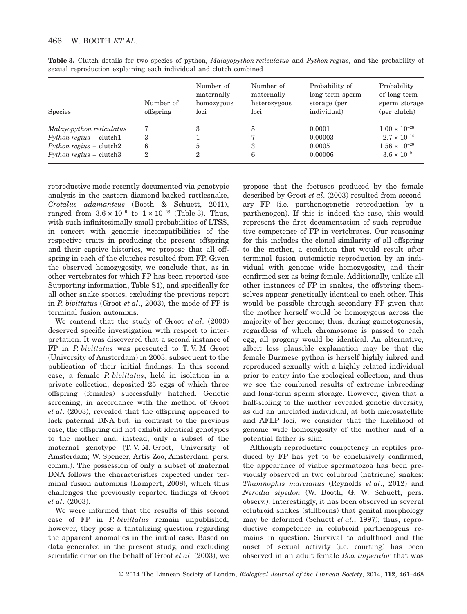| <b>Species</b>            | Number of<br>offspring | Number of<br>maternally<br>homozygous<br>loci | Number of<br>maternally<br>heterozygous<br>loci | Probability of<br>long-term sperm<br>storage (per<br>individual) | Probability<br>of long-term<br>sperm storage<br>(per clutch) |
|---------------------------|------------------------|-----------------------------------------------|-------------------------------------------------|------------------------------------------------------------------|--------------------------------------------------------------|
| Malayopython reticulatus  |                        | 3                                             | 5                                               | 0.0001                                                           | $1.00 \times 10^{-28}$                                       |
| $Python$ regius - clutch1 | 3                      |                                               |                                                 | 0.00003                                                          | $2.7 \times 10^{-14}$                                        |
| $Python$ regius - clutch2 | 6                      | 5                                             | 3                                               | 0.0005                                                           | $1.56 \times 10^{-20}$                                       |
| $Python$ regius - clutch3 | $\overline{2}$         | $^{2}$                                        | 6                                               | 0.00006                                                          | $3.6 \times 10^{-9}$                                         |

**Table 3.** Clutch details for two species of python, *Malayopython reticulatus* and *Python regius*, and the probability of sexual reproduction explaining each individual and clutch combined

reproductive mode recently documented via genotypic analysis in the eastern diamond-backed rattlesnake, *Crotalus adamanteus* (Booth & Schuett, 2011), ranged from  $3.6 \times 10^{-9}$  to  $1 \times 10^{-28}$  (Table 3). Thus, with such infinitesimally small probabilities of LTSS, in concert with genomic incompatibilities of the respective traits in producing the present offspring and their captive histories, we propose that all offspring in each of the clutches resulted from FP. Given the observed homozygosity, we conclude that, as in other vertebrates for which FP has been reported (see Supporting information, Table S1), and specifically for all other snake species, excluding the previous report in *P. bivittatus* (Groot *et al*., 2003), the mode of FP is terminal fusion automixis.

We contend that the study of Groot *et al*. (2003) deserved specific investigation with respect to interpretation. It was discovered that a second instance of FP in *P. bivittatus* was presented to T. V. M. Groot (University of Amsterdam) in 2003, subsequent to the publication of their initial findings. In this second case, a female *P. bivittatus*, held in isolation in a private collection, deposited 25 eggs of which three offspring (females) successfully hatched. Genetic screening, in accordance with the method of Groot *et al*. (2003), revealed that the offspring appeared to lack paternal DNA but, in contrast to the previous case, the offspring did not exhibit identical genotypes to the mother and, instead, only a subset of the maternal genotype (T. V. M. Groot, University of Amsterdam; W. Spencer, Artis Zoo, Amsterdam. pers. comm.). The possession of only a subset of maternal DNA follows the characteristics expected under terminal fusion automixis (Lampert, 2008), which thus challenges the previously reported findings of Groot *et al*. (2003).

We were informed that the results of this second case of FP in *P. bivittatus* remain unpublished; however, they pose a tantalizing question regarding the apparent anomalies in the initial case. Based on data generated in the present study, and excluding scientific error on the behalf of Groot *et al*. (2003), we propose that the foetuses produced by the female described by Groot *et al*. (2003) resulted from secondary FP (i.e. parthenogenetic reproduction by a parthenogen). If this is indeed the case, this would represent the first documentation of such reproductive competence of FP in vertebrates. Our reasoning for this includes the clonal similarity of all offspring to the mother, a condition that would result after terminal fusion automictic reproduction by an individual with genome wide homozygosity, and their confirmed sex as being female. Additionally, unlike all other instances of FP in snakes, the offspring themselves appear genetically identical to each other. This would be possible through secondary FP given that the mother herself would be homozygous across the majority of her genome; thus, during gametogenesis, regardless of which chromosome is passed to each egg, all progeny would be identical. An alternative, albeit less plausible explanation may be that the female Burmese python is herself highly inbred and reproduced sexually with a highly related individual prior to entry into the zoological collection, and thus we see the combined results of extreme inbreeding and long-term sperm storage. However, given that a half-sibling to the mother revealed genetic diversity, as did an unrelated individual, at both microsatellite and AFLP loci, we consider that the likelihood of genome wide homozygosity of the mother and of a potential father is slim.

Although reproductive competency in reptiles produced by FP has yet to be conclusively confirmed, the appearance of viable spermatozoa has been previously observed in two colubroid (natricine) snakes: *Thamnophis marcianus* (Reynolds *et al*., 2012) and *Nerodia sipedon* (W. Booth, G. W. Schuett, pers. observ.). Interestingly, it has been observed in several colubroid snakes (stillborns) that genital morphology may be deformed (Schuett *et al*., 1997); thus, reproductive competence in colubroid parthenogens remains in question. Survival to adulthood and the onset of sexual activity (i.e. courting) has been observed in an adult female *Boa imperator* that was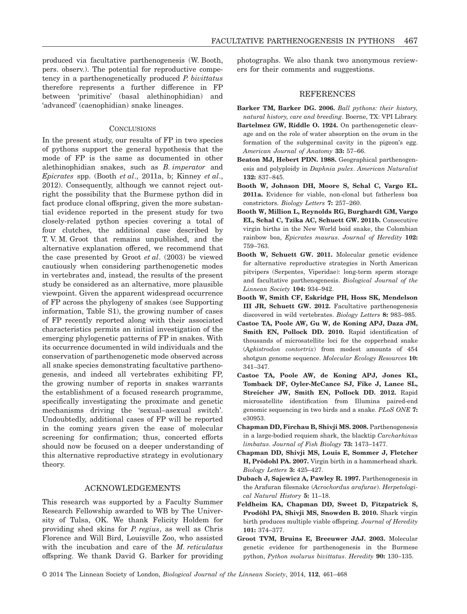produced via facultative parthenogenesis (W. Booth, pers. observ.). The potential for reproductive competency in a parthenogenetically produced *P. bivittatus* therefore represents a further difference in FP between 'primitive' (basal alethinophidian) and 'advanced' (caenophidian) snake lineages.

#### **CONCLUSIONS**

In the present study, our results of FP in two species of pythons support the general hypothesis that the mode of FP is the same as documented in other alethinophidian snakes, such as *B. imperator* and *Epicrates* spp. (Booth *et al*., 2011a, b; Kinney *et al*., 2012). Consequently, although we cannot reject outright the possibility that the Burmese python did in fact produce clonal offspring, given the more substantial evidence reported in the present study for two closely-related python species covering a total of four clutches, the additional case described by T. V. M. Groot that remains unpublished, and the alternative explanation offered, we recommend that the case presented by Groot *et al*. (2003) be viewed cautiously when considering parthenogenetic modes in vertebrates and, instead, the results of the present study be considered as an alternative, more plausible viewpoint. Given the apparent widespread occurrence of FP across the phylogeny of snakes (see Supporting information, Table S1), the growing number of cases of FP recently reported along with their associated characteristics permits an initial investigation of the emerging phylogenetic patterns of FP in snakes. With its occurrence documented in wild individuals and the conservation of parthenogenetic mode observed across all snake species demonstrating facultative parthenogenesis, and indeed all vertebrates exhibiting FP, the growing number of reports in snakes warrants the establishment of a focused research programme, specifically investigating the proximate and genetic mechanisms driving the 'sexual–asexual switch'. Undoubtedly, additional cases of FP will be reported in the coming years given the ease of molecular screening for confirmation; thus, concerted efforts should now be focused on a deeper understanding of this alternative reproductive strategy in evolutionary theory.

## ACKNOWLEDGEMENTS

This research was supported by a Faculty Summer Research Fellowship awarded to WB by The University of Tulsa, OK. We thank Felicity Holdem for providing shed skins for *P. regius*, as well as Chris Florence and Will Bird, Louisville Zoo, who assisted with the incubation and care of the *M. reticulatus* offspring. We thank David G. Barker for providing photographs. We also thank two anonymous reviewers for their comments and suggestions.

### REFERENCES

- **Barker TM, Barker DG. 2006.** *Ball pythons: their history, natural history, care and breeding*. Boerne, TX: VPI Library.
- **Bartelmez GW, Riddle O. 1924.** On parthenogenetic cleavage and on the role of water absorption on the ovum in the formation of the subgerminal cavity in the pigeon's egg. *American Journal of Anatomy* **33:** 57–66.
- **Beaton MJ, Hebert PDN. 1988.** Geographical parthenogenesis and polyploidy in *Daphnia pulex*. *American Naturalist* **132:** 837–845.
- **Booth W, Johnson DH, Moore S, Schal C, Vargo EL. 2011a.** Evidence for viable, non-clonal but fatherless boa constrictors. *Biology Letters* **7:** 257–260.
- **Booth W, Million L, Reynolds RG, Burghardt GM, Vargo EL, Schal C, Tzika AC, Schuett GW. 2011b.** Consecutive virgin births in the New World boid snake, the Colombian rainbow boa, *Epicrates maurus*. *Journal of Heredity* **102:** 759–763.
- **Booth W, Schuett GW. 2011.** Molecular genetic evidence for alternative reproductive strategies in North American pitvipers (Serpentes, Viperidae): long-term sperm storage and facultative parthenogenesis. *Biological Journal of the Linnean Society* **104:** 934–942.
- **Booth W, Smith CF, Eskridge PH, Hoss SK, Mendelson III JR, Schuett GW. 2012.** Facultative parthenogenesis discovered in wild vertebrates. *Biology Letters* **8:** 983–985.
- **Castoe TA, Poole AW, Gu W, de Koning APJ, Daza JM, Smith EN, Pollock DD. 2010.** Rapid identification of thousands of microsatellite loci for the copperhead snake (*Agkistrodon contortrix*) from modest amounts of 454 shotgun genome sequence. *Molecular Ecology Resources* **10:** 341–347.
- **Castoe TA, Poole AW, de Koning APJ, Jones KL, Tomback DF, Oyler-McCance SJ, Fike J, Lance SL, Streicher JW, Smith EN, Pollock DD. 2012.** Rapid microsatellite identification from Illumina paired-end genomic sequencing in two birds and a snake. *PLoS ONE* **7:** e30953.
- **Chapman DD, Firchau B, Shivji MS. 2008.** Parthenogenesis in a large-bodied requiem shark, the blacktip *Carcharhinus limbatus*. *Journal of Fish Biology* **73:** 1473–1477.
- **Chapman DD, Shivji MS, Louis E, Sommer J, Fletcher H, Prödohl PA. 2007.** Virgin birth in a hammerhead shark. *Biology Letters* **3:** 425–427.
- **Dubach J, Sajewicz A, Pawley R. 1997.** Parthenogenesis in the Arafuran filesnake (*Acrochordus arafurae*). *Herpetological Natural History* **5:** 11–18.
- **Feldheim KA, Chapman DD, Sweet D, Fitzpatrick S, Prodöhl PA, Shivji MS, Snowden B. 2010.** Shark virgin birth produces multiple viable offspring. *Journal of Heredity* **101:** 374–377.
- **Groot TVM, Bruins E, Breeuwer JAJ. 2003.** Molecular genetic evidence for parthenogenesis in the Burmese python, *Python molurus bivittatus*. *Heredity* **90:** 130–135.